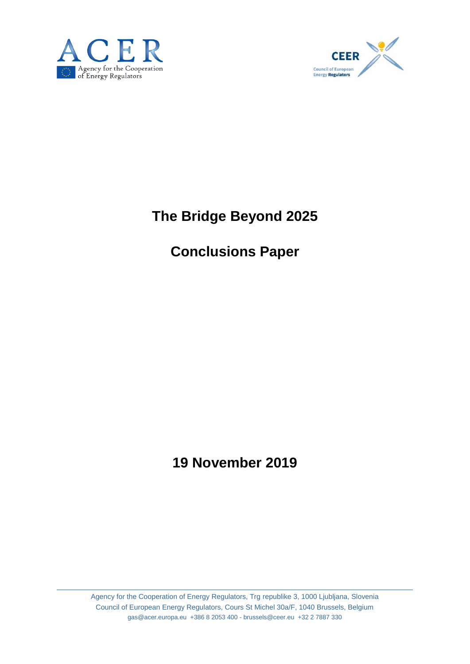



# **The Bridge Beyond 2025**

# **Conclusions Paper**

# **19 November 2019**

Agency for the Cooperation of Energy Regulators, Trg republike 3, 1000 Ljubljana, Slovenia Council of European Energy Regulators, Cours St Michel 30a/F, 1040 Brussels, Belgium gas@acer.europa.eu +386 8 2053 400 - brussels@ceer.eu +32 2 7887 330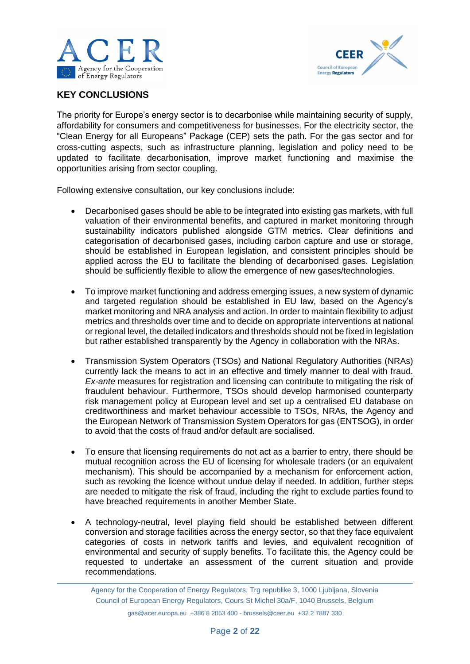



# **KEY CONCLUSIONS**

The priority for Europe's energy sector is to decarbonise while maintaining security of supply, affordability for consumers and competitiveness for businesses. For the electricity sector, the "Clean Energy for all Europeans" Package (CEP) sets the path. For the gas sector and for cross-cutting aspects, such as infrastructure planning, legislation and policy need to be updated to facilitate decarbonisation, improve market functioning and maximise the opportunities arising from sector coupling.

Following extensive consultation, our key conclusions include:

- Decarbonised gases should be able to be integrated into existing gas markets, with full valuation of their environmental benefits, and captured in market monitoring through sustainability indicators published alongside GTM metrics. Clear definitions and categorisation of decarbonised gases, including carbon capture and use or storage, should be established in European legislation, and consistent principles should be applied across the EU to facilitate the blending of decarbonised gases. Legislation should be sufficiently flexible to allow the emergence of new gases/technologies.
- To improve market functioning and address emerging issues, a new system of dynamic and targeted regulation should be established in EU law, based on the Agency's market monitoring and NRA analysis and action. In order to maintain flexibility to adjust metrics and thresholds over time and to decide on appropriate interventions at national or regional level, the detailed indicators and thresholds should not be fixed in legislation but rather established transparently by the Agency in collaboration with the NRAs.
- Transmission System Operators (TSOs) and National Regulatory Authorities (NRAs) currently lack the means to act in an effective and timely manner to deal with fraud. *Ex-ante* measures for registration and licensing can contribute to mitigating the risk of fraudulent behaviour. Furthermore, TSOs should develop harmonised counterparty risk management policy at European level and set up a centralised EU database on creditworthiness and market behaviour accessible to TSOs, NRAs, the Agency and the European Network of Transmission System Operators for gas (ENTSOG), in order to avoid that the costs of fraud and/or default are socialised.
- To ensure that licensing requirements do not act as a barrier to entry, there should be mutual recognition across the EU of licensing for wholesale traders (or an equivalent mechanism). This should be accompanied by a mechanism for enforcement action, such as revoking the licence without undue delay if needed. In addition, further steps are needed to mitigate the risk of fraud, including the right to exclude parties found to have breached requirements in another Member State.
- A technology-neutral, level playing field should be established between different conversion and storage facilities across the energy sector, so that they face equivalent categories of costs in network tariffs and levies, and equivalent recognition of environmental and security of supply benefits. To facilitate this, the Agency could be requested to undertake an assessment of the current situation and provide recommendations.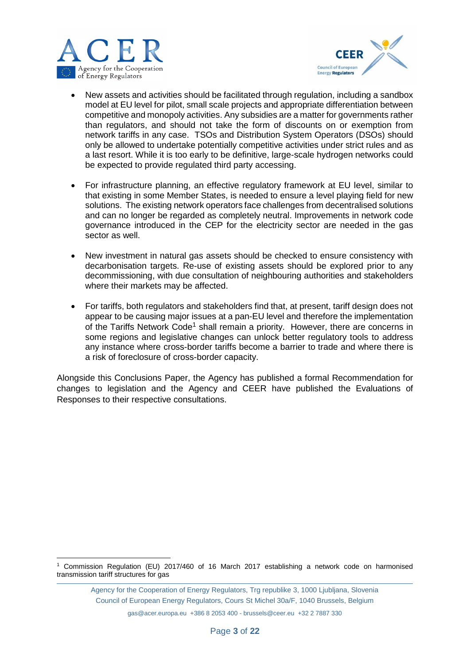



- New assets and activities should be facilitated through regulation, including a sandbox model at EU level for pilot, small scale projects and appropriate differentiation between competitive and monopoly activities. Any subsidies are a matter for governments rather than regulators, and should not take the form of discounts on or exemption from network tariffs in any case. TSOs and Distribution System Operators (DSOs) should only be allowed to undertake potentially competitive activities under strict rules and as a last resort. While it is too early to be definitive, large-scale hydrogen networks could be expected to provide regulated third party accessing.
- For infrastructure planning, an effective regulatory framework at EU level, similar to that existing in some Member States, is needed to ensure a level playing field for new solutions. The existing network operators face challenges from decentralised solutions and can no longer be regarded as completely neutral. Improvements in network code governance introduced in the CEP for the electricity sector are needed in the gas sector as well.
- New investment in natural gas assets should be checked to ensure consistency with decarbonisation targets. Re-use of existing assets should be explored prior to any decommissioning, with due consultation of neighbouring authorities and stakeholders where their markets may be affected.
- For tariffs, both regulators and stakeholders find that, at present, tariff design does not appear to be causing major issues at a pan-EU level and therefore the implementation of the Tariffs Network Code<sup>1</sup> shall remain a priority. However, there are concerns in some regions and legislative changes can unlock better regulatory tools to address any instance where cross-border tariffs become a barrier to trade and where there is a risk of foreclosure of cross-border capacity.

Alongside this Conclusions Paper, the Agency has published a formal Recommendation for changes to legislation and the Agency and CEER have published the Evaluations of Responses to their respective consultations.

<sup>1</sup> <sup>1</sup> Commission Regulation (EU) 2017/460 of 16 March 2017 establishing a network code on harmonised transmission tariff structures for gas

Agency for the Cooperation of Energy Regulators, Trg republike 3, 1000 Ljubljana, Slovenia Council of European Energy Regulators, Cours St Michel 30a/F, 1040 Brussels, Belgium

gas@acer.europa.eu +386 8 2053 400 - brussels@ceer.eu +32 2 7887 330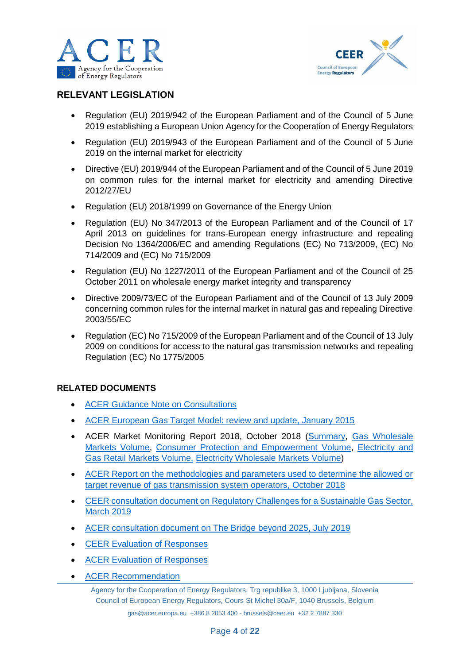



# **RELEVANT LEGISLATION**

- Regulation (EU) 2019/942 of the European Parliament and of the Council of 5 June 2019 establishing a European Union Agency for the Cooperation of Energy Regulators
- Regulation (EU) 2019/943 of the European Parliament and of the Council of 5 June 2019 on the internal market for electricity
- Directive (EU) 2019/944 of the European Parliament and of the Council of 5 June 2019 on common rules for the internal market for electricity and amending Directive 2012/27/EU
- Regulation (EU) 2018/1999 on Governance of the Energy Union
- Regulation (EU) No 347/2013 of the European Parliament and of the Council of 17 April 2013 on guidelines for trans-European energy infrastructure and repealing Decision No 1364/2006/EC and amending Regulations (EC) No 713/2009, (EC) No 714/2009 and (EC) No 715/2009
- Regulation (EU) No 1227/2011 of the European Parliament and of the Council of 25 October 2011 on wholesale energy market integrity and transparency
- Directive 2009/73/EC of the European Parliament and of the Council of 13 July 2009 concerning common rules for the internal market in natural gas and repealing Directive 2003/55/EC
- Regulation (EC) No 715/2009 of the European Parliament and of the Council of 13 July 2009 on conditions for access to the natural gas transmission networks and repealing Regulation (EC) No 1775/2005

## **RELATED DOCUMENTS**

- ACER [Guidance Note on Consultations](https://www.acer.europa.eu/Official_documents/Other%20documents/Guidance%20Note%20on%20Consultations%20by%20ACER.pdf)
- [ACER European Gas Target Model: review and update, January 2015](https://www.acer.europa.eu/Events/Presentation-of-ACER-Gas-Target-Model-/Documents/European%20Gas%20Target%20Model%20Review%20and%20Update.pdf)
- ACER Market Monitoring Report 2018, October 2018 [\(Summary,](https://www.acer.europa.eu/Official_documents/Acts_of_the_Agency/Publication/ACER%20Market%20Monitoring%20Report%202018%20-%20Summary%20note.pdf) [Gas Wholesale](https://www.acer.europa.eu/Official_documents/Acts_of_the_Agency/Publication/ACER%20Market%20Monitoring%20Report%202018%20-%20Gas%20Wholesale%20Markets%20Volume.pdf)  [Markets Volume,](https://www.acer.europa.eu/Official_documents/Acts_of_the_Agency/Publication/ACER%20Market%20Monitoring%20Report%202018%20-%20Gas%20Wholesale%20Markets%20Volume.pdf) [Consumer Protection and Empowerment Volume,](https://www.acer.europa.eu/Official_documents/Acts_of_the_Agency/Publication/ACER%20Market%20Monitoring%20Report%202018%20-%20Consumer%20Protection%20and%20Empowerment%20Volume.pdf) [Electricity and](https://www.acer.europa.eu/Official_documents/Acts_of_the_Agency/Publication/ACER%20Market%20Monitoring%20Report%202018%20-%20Electricity%20and%20Gas%20Retail%20Markets%20Volume.pdf)  [Gas Retail Markets Volume,](https://www.acer.europa.eu/Official_documents/Acts_of_the_Agency/Publication/ACER%20Market%20Monitoring%20Report%202018%20-%20Electricity%20and%20Gas%20Retail%20Markets%20Volume.pdf) [Electricity Wholesale Markets Volume\)](https://www.acer.europa.eu/Official_documents/Acts_of_the_Agency/Publication/ACER%20Market%20Monitoring%20Report%202018%20-%20Electricity%20Wholesale%20Markets%20Volume.pdf)
- [ACER Report on the methodologies and parameters used to determine the allowed or](https://www.acer.europa.eu/Official_documents/Acts_of_the_Agency/Publication/ACER%20Report%20Methodologies%20Target%20Revenue%20of%20Gas%20TSOs.pdf)  [target revenue of gas transmission system operators, October](https://www.acer.europa.eu/Official_documents/Acts_of_the_Agency/Publication/ACER%20Report%20Methodologies%20Target%20Revenue%20of%20Gas%20TSOs.pdf) 2018
- [CEER consultation document on Regulatory Challenges for a Sustainable Gas Sector,](https://www.ceer.eu/documents/104400/-/-/274b3146-afb5-8c96-436e-4056f3636b31)  [March 2019](https://www.ceer.eu/documents/104400/-/-/274b3146-afb5-8c96-436e-4056f3636b31)
- [ACER consultation document on The Bridge beyond 2025, July 2019](https://www.acer.europa.eu/Official_documents/Public_consultations/PC_2019_G_06/The%20Bridge%20beyond%202025%20-%20PC_2019_G_06.pdf)
- **[CEER Evaluation of Responses](https://www.ceer.eu/ceer-consultation-on-regulatory-challenges-for-a-sustainable-gas-sector)**
- [ACER Evaluation of Responses](https://www.acer.europa.eu/Official_documents/Public_consultations/PC_2019_G_06/Evaluation%20Report%20PC_2019_G_06.pdf)
- [ACER Recommendation](https://www.acer.europa.eu/Official_documents/Acts_of_the_Agency/Recommendations/ACER%20Recommendation%2002-2019.pdf)

Agency for the Cooperation of Energy Regulators, Trg republike 3, 1000 Ljubljana, Slovenia Council of European Energy Regulators, Cours St Michel 30a/F, 1040 Brussels, Belgium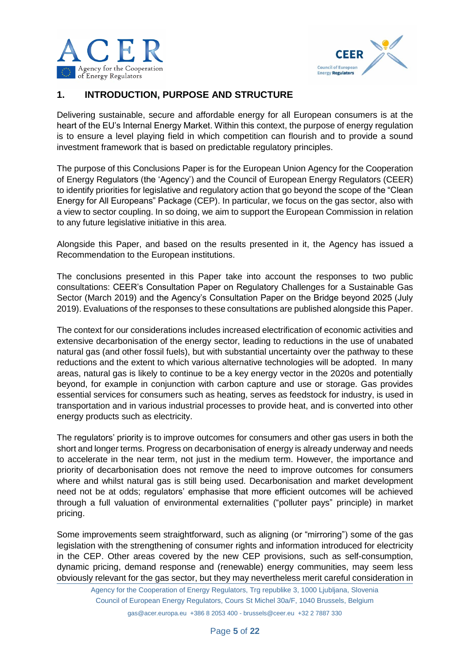



# **1. INTRODUCTION, PURPOSE AND STRUCTURE**

Delivering sustainable, secure and affordable energy for all European consumers is at the heart of the EU's Internal Energy Market. Within this context, the purpose of energy regulation is to ensure a level playing field in which competition can flourish and to provide a sound investment framework that is based on predictable regulatory principles.

The purpose of this Conclusions Paper is for the European Union Agency for the Cooperation of Energy Regulators (the 'Agency') and the Council of European Energy Regulators (CEER) to identify priorities for legislative and regulatory action that go beyond the scope of the "Clean Energy for All Europeans" Package (CEP). In particular, we focus on the gas sector, also with a view to sector coupling. In so doing, we aim to support the European Commission in relation to any future legislative initiative in this area.

Alongside this Paper, and based on the results presented in it, the Agency has issued a Recommendation to the European institutions.

The conclusions presented in this Paper take into account the responses to two public consultations: CEER's Consultation Paper on Regulatory Challenges for a Sustainable Gas Sector (March 2019) and the Agency's Consultation Paper on the Bridge beyond 2025 (July 2019). Evaluations of the responses to these consultations are published alongside this Paper.

The context for our considerations includes increased electrification of economic activities and extensive decarbonisation of the energy sector, leading to reductions in the use of unabated natural gas (and other fossil fuels), but with substantial uncertainty over the pathway to these reductions and the extent to which various alternative technologies will be adopted. In many areas, natural gas is likely to continue to be a key energy vector in the 2020s and potentially beyond, for example in conjunction with carbon capture and use or storage. Gas provides essential services for consumers such as heating, serves as feedstock for industry, is used in transportation and in various industrial processes to provide heat, and is converted into other energy products such as electricity.

The regulators' priority is to improve outcomes for consumers and other gas users in both the short and longer terms. Progress on decarbonisation of energy is already underway and needs to accelerate in the near term, not just in the medium term. However, the importance and priority of decarbonisation does not remove the need to improve outcomes for consumers where and whilst natural gas is still being used. Decarbonisation and market development need not be at odds; regulators' emphasise that more efficient outcomes will be achieved through a full valuation of environmental externalities ("polluter pays" principle) in market pricing.

Some improvements seem straightforward, such as aligning (or "mirroring") some of the gas legislation with the strengthening of consumer rights and information introduced for electricity in the CEP. Other areas covered by the new CEP provisions, such as self-consumption, dynamic pricing, demand response and (renewable) energy communities, may seem less obviously relevant for the gas sector, but they may nevertheless merit careful consideration in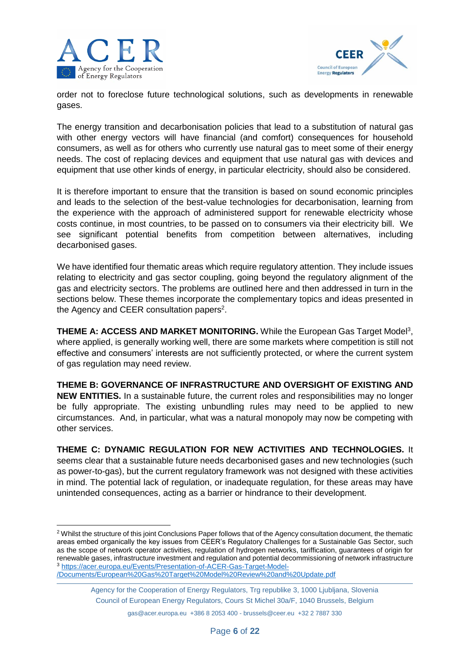

**.** 



order not to foreclose future technological solutions, such as developments in renewable gases.

The energy transition and decarbonisation policies that lead to a substitution of natural gas with other energy vectors will have financial (and comfort) consequences for household consumers, as well as for others who currently use natural gas to meet some of their energy needs. The cost of replacing devices and equipment that use natural gas with devices and equipment that use other kinds of energy, in particular electricity, should also be considered.

It is therefore important to ensure that the transition is based on sound economic principles and leads to the selection of the best-value technologies for decarbonisation, learning from the experience with the approach of administered support for renewable electricity whose costs continue, in most countries, to be passed on to consumers via their electricity bill. We see significant potential benefits from competition between alternatives, including decarbonised gases.

We have identified four thematic areas which require regulatory attention. They include issues relating to electricity and gas sector coupling, going beyond the regulatory alignment of the gas and electricity sectors. The problems are outlined here and then addressed in turn in the sections below. These themes incorporate the complementary topics and ideas presented in the Agency and CEER consultation papers<sup>2</sup>.

**THEME A: ACCESS AND MARKET MONITORING.** While the European Gas Target Model<sup>3</sup>, where applied, is generally working well, there are some markets where competition is still not effective and consumers' interests are not sufficiently protected, or where the current system of gas regulation may need review.

**THEME B: GOVERNANCE OF INFRASTRUCTURE AND OVERSIGHT OF EXISTING AND NEW ENTITIES.** In a sustainable future, the current roles and responsibilities may no longer be fully appropriate. The existing unbundling rules may need to be applied to new circumstances. And, in particular, what was a natural monopoly may now be competing with other services.

**THEME C: DYNAMIC REGULATION FOR NEW ACTIVITIES AND TECHNOLOGIES.** It seems clear that a sustainable future needs decarbonised gases and new technologies (such as power-to-gas), but the current regulatory framework was not designed with these activities in mind. The potential lack of regulation, or inadequate regulation, for these areas may have unintended consequences, acting as a barrier or hindrance to their development.

<sup>&</sup>lt;sup>2</sup> Whilst the structure of this joint Conclusions Paper follows that of the Agency consultation document, the thematic areas embed organically the key issues from CEER's Regulatory Challenges for a Sustainable Gas Sector, such as the scope of network operator activities, regulation of hydrogen networks, tariffication, guarantees of origin for renewable gases, infrastructure investment and regulation and potential decommissioning of network infrastructure <sup>3</sup> [https://acer.europa.eu/Events/Presentation-of-ACER-Gas-Target-Model-](https://acer.europa.eu/Events/Presentation-of-ACER-Gas-Target-Model-/Documents/European%20Gas%20Target%20Model%20Review%20and%20Update.pdf) [/Documents/European%20Gas%20Target%20Model%20Review%20and%20Update.pdf](https://acer.europa.eu/Events/Presentation-of-ACER-Gas-Target-Model-/Documents/European%20Gas%20Target%20Model%20Review%20and%20Update.pdf)

Agency for the Cooperation of Energy Regulators, Trg republike 3, 1000 Ljubljana, Slovenia Council of European Energy Regulators, Cours St Michel 30a/F, 1040 Brussels, Belgium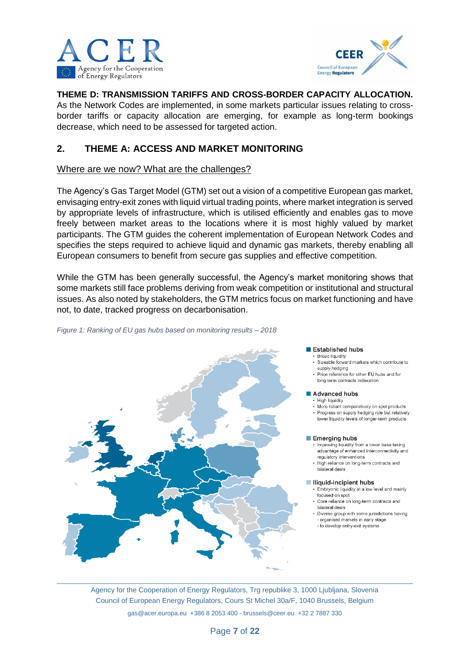



**THEME D: TRANSMISSION TARIFFS AND CROSS-BORDER CAPACITY ALLOCATION.**

As the Network Codes are implemented, in some markets particular issues relating to crossborder tariffs or capacity allocation are emerging, for example as long-term bookings decrease, which need to be assessed for targeted action.

# **2. THEME A: ACCESS AND MARKET MONITORING**

### Where are we now? What are the challenges?

The Agency's Gas Target Model (GTM) set out a vision of a competitive European gas market, envisaging entry-exit zones with liquid virtual trading points, where market integration is served by appropriate levels of infrastructure, which is utilised efficiently and enables gas to move freely between market areas to the locations where it is most highly valued by market participants. The GTM guides the coherent implementation of European Network Codes and specifies the steps required to achieve liquid and dynamic gas markets, thereby enabling all European consumers to benefit from secure gas supplies and effective competition.

While the GTM has been generally successful, the Agency's market monitoring shows that some markets still face problems deriving from weak competition or institutional and structural issues. As also noted by stakeholders, the GTM metrics focus on market functioning and have not, to date, tracked progress on decarbonisation.





#### Established hubs

- · Broad liquidity . Sizephle forward morkets which contribute to supply hedging
- Price reference for other EU hubs and for long-term contracts indexation
- Advanced hubs
	- · High liquidity • More reliant comparatively on spot products · Progress on supply bedging role but relatively
	- lower liquidity levels of longer-term products

#### Emerging hubs

- . Improving liquidity from a lower base taking advantage of enhanced interconnectivity and regulatory interventions
- . High reliance on long-term contracts and bilateral deals

#### Iliquid-incipient hubs

- · Embryonic liquidity at a low level and mainly focused on spot
- Core reliance on long-term contracts and bilateral deals
- Diverse group with some jurisdictions having - organised markets in early stage
- to develop entry-exit systems

Agency for the Cooperation of Energy Regulators, Trg republike 3, 1000 Ljubljana, Slovenia Council of European Energy Regulators, Cours St Michel 30a/F, 1040 Brussels, Belgium gas@acer.europa.eu +386 8 2053 400 - brussels@ceer.eu +32 2 7887 330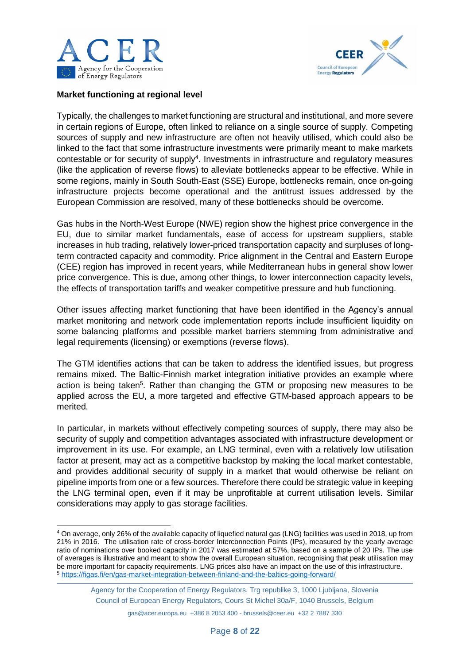

**.** 



#### **Market functioning at regional level**

Typically, the challenges to market functioning are structural and institutional, and more severe in certain regions of Europe, often linked to reliance on a single source of supply. Competing sources of supply and new infrastructure are often not heavily utilised, which could also be linked to the fact that some infrastructure investments were primarily meant to make markets contestable or for security of supply<sup>4</sup>. Investments in infrastructure and regulatory measures (like the application of reverse flows) to alleviate bottlenecks appear to be effective. While in some regions, mainly in South South-East (SSE) Europe, bottlenecks remain, once on-going infrastructure projects become operational and the antitrust issues addressed by the European Commission are resolved, many of these bottlenecks should be overcome.

Gas hubs in the North-West Europe (NWE) region show the highest price convergence in the EU, due to similar market fundamentals, ease of access for upstream suppliers, stable increases in hub trading, relatively lower-priced transportation capacity and surpluses of longterm contracted capacity and commodity. Price alignment in the Central and Eastern Europe (CEE) region has improved in recent years, while Mediterranean hubs in general show lower price convergence. This is due, among other things, to lower interconnection capacity levels, the effects of transportation tariffs and weaker competitive pressure and hub functioning.

Other issues affecting market functioning that have been identified in the Agency's annual market monitoring and network code implementation reports include insufficient liquidity on some balancing platforms and possible market barriers stemming from administrative and legal requirements (licensing) or exemptions (reverse flows).

The GTM identifies actions that can be taken to address the identified issues, but progress remains mixed. The Baltic-Finnish market integration initiative provides an example where action is being taken<sup>5</sup>. Rather than changing the GTM or proposing new measures to be applied across the EU, a more targeted and effective GTM-based approach appears to be merited.

In particular, in markets without effectively competing sources of supply, there may also be security of supply and competition advantages associated with infrastructure development or improvement in its use. For example, an LNG terminal, even with a relatively low utilisation factor at present, may act as a competitive backstop by making the local market contestable, and provides additional security of supply in a market that would otherwise be reliant on pipeline imports from one or a few sources. Therefore there could be strategic value in keeping the LNG terminal open, even if it may be unprofitable at current utilisation levels. Similar considerations may apply to gas storage facilities.

<sup>4</sup> On average, only 26% of the available capacity of liquefied natural gas (LNG) facilities was used in 2018, up from 21% in 2016. The utilisation rate of cross-border Interconnection Points (IPs), measured by the yearly average ratio of nominations over booked capacity in 2017 was estimated at 57%, based on a sample of 20 IPs. The use of averages is illustrative and meant to show the overall European situation, recognising that peak utilisation may be more important for capacity requirements. LNG prices also have an impact on the use of this infrastructure. <sup>5</sup> <https://figas.fi/en/gas-market-integration-between-finland-and-the-baltics-going-forward/>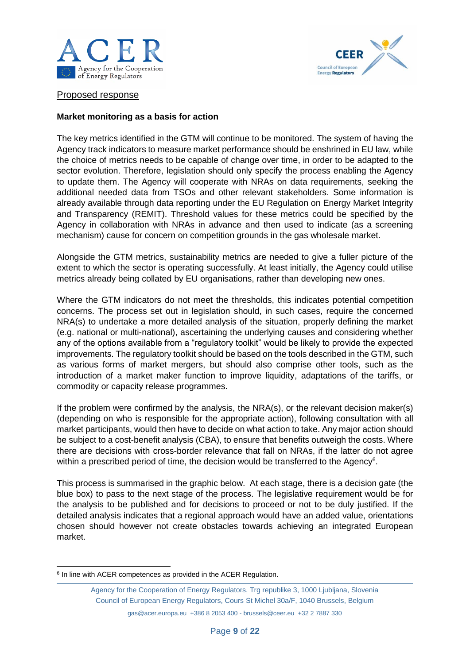



Proposed response

#### **Market monitoring as a basis for action**

The key metrics identified in the GTM will continue to be monitored. The system of having the Agency track indicators to measure market performance should be enshrined in EU law, while the choice of metrics needs to be capable of change over time, in order to be adapted to the sector evolution. Therefore, legislation should only specify the process enabling the Agency to update them. The Agency will cooperate with NRAs on data requirements, seeking the additional needed data from TSOs and other relevant stakeholders. Some information is already available through data reporting under the EU Regulation on Energy Market Integrity and Transparency (REMIT). Threshold values for these metrics could be specified by the Agency in collaboration with NRAs in advance and then used to indicate (as a screening mechanism) cause for concern on competition grounds in the gas wholesale market.

Alongside the GTM metrics, sustainability metrics are needed to give a fuller picture of the extent to which the sector is operating successfully. At least initially, the Agency could utilise metrics already being collated by EU organisations, rather than developing new ones.

Where the GTM indicators do not meet the thresholds, this indicates potential competition concerns. The process set out in legislation should, in such cases, require the concerned NRA(s) to undertake a more detailed analysis of the situation, properly defining the market (e.g. national or multi-national), ascertaining the underlying causes and considering whether any of the options available from a "regulatory toolkit" would be likely to provide the expected improvements. The regulatory toolkit should be based on the tools described in the GTM, such as various forms of market mergers, but should also comprise other tools, such as the introduction of a market maker function to improve liquidity, adaptations of the tariffs, or commodity or capacity release programmes.

If the problem were confirmed by the analysis, the NRA(s), or the relevant decision maker(s) (depending on who is responsible for the appropriate action), following consultation with all market participants, would then have to decide on what action to take. Any major action should be subject to a cost-benefit analysis (CBA), to ensure that benefits outweigh the costs. Where there are decisions with cross-border relevance that fall on NRAs, if the latter do not agree within a prescribed period of time, the decision would be transferred to the Agency<sup>6</sup>.

This process is summarised in the graphic below. At each stage, there is a decision gate (the blue box) to pass to the next stage of the process. The legislative requirement would be for the analysis to be published and for decisions to proceed or not to be duly justified. If the detailed analysis indicates that a regional approach would have an added value, orientations chosen should however not create obstacles towards achieving an integrated European market.

**<sup>.</sup>** <sup>6</sup> In line with ACER competences as provided in the ACER Regulation.

Agency for the Cooperation of Energy Regulators, Trg republike 3, 1000 Ljubljana, Slovenia Council of European Energy Regulators, Cours St Michel 30a/F, 1040 Brussels, Belgium

gas@acer.europa.eu +386 8 2053 400 - brussels@ceer.eu +32 2 7887 330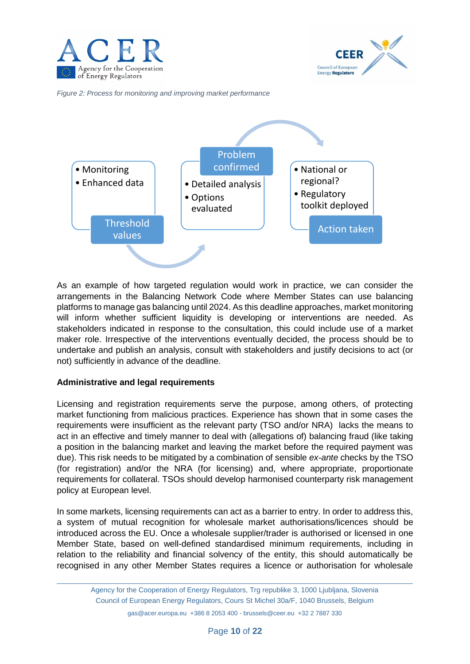



*Figure 2: Process for monitoring and improving market performance* 



As an example of how targeted regulation would work in practice, we can consider the arrangements in the Balancing Network Code where Member States can use balancing platforms to manage gas balancing until 2024. As this deadline approaches, market monitoring will inform whether sufficient liquidity is developing or interventions are needed. As stakeholders indicated in response to the consultation, this could include use of a market maker role. Irrespective of the interventions eventually decided, the process should be to undertake and publish an analysis, consult with stakeholders and justify decisions to act (or not) sufficiently in advance of the deadline.

#### **Administrative and legal requirements**

Licensing and registration requirements serve the purpose, among others, of protecting market functioning from malicious practices. Experience has shown that in some cases the requirements were insufficient as the relevant party (TSO and/or NRA) lacks the means to act in an effective and timely manner to deal with (allegations of) balancing fraud (like taking a position in the balancing market and leaving the market before the required payment was due). This risk needs to be mitigated by a combination of sensible *ex-ante* checks by the TSO (for registration) and/or the NRA (for licensing) and, where appropriate, proportionate requirements for collateral. TSOs should develop harmonised counterparty risk management policy at European level.

In some markets, licensing requirements can act as a barrier to entry. In order to address this, a system of mutual recognition for wholesale market authorisations/licences should be introduced across the EU. Once a wholesale supplier/trader is authorised or licensed in one Member State, based on well-defined standardised minimum requirements, including in relation to the reliability and financial solvency of the entity, this should automatically be recognised in any other Member States requires a licence or authorisation for wholesale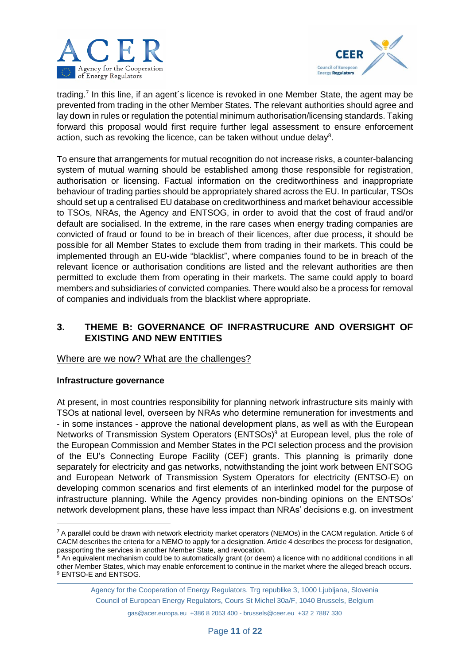



trading.<sup>7</sup> In this line, if an agent's licence is revoked in one Member State, the agent may be prevented from trading in the other Member States. The relevant authorities should agree and lay down in rules or regulation the potential minimum authorisation/licensing standards. Taking forward this proposal would first require further legal assessment to ensure enforcement action, such as revoking the licence, can be taken without undue delay $8$ .

To ensure that arrangements for mutual recognition do not increase risks, a counter-balancing system of mutual warning should be established among those responsible for registration, authorisation or licensing. Factual information on the creditworthiness and inappropriate behaviour of trading parties should be appropriately shared across the EU. In particular, TSOs should set up a centralised EU database on creditworthiness and market behaviour accessible to TSOs, NRAs, the Agency and ENTSOG, in order to avoid that the cost of fraud and/or default are socialised. In the extreme, in the rare cases when energy trading companies are convicted of fraud or found to be in breach of their licences, after due process, it should be possible for all Member States to exclude them from trading in their markets. This could be implemented through an EU-wide "blacklist", where companies found to be in breach of the relevant licence or authorisation conditions are listed and the relevant authorities are then permitted to exclude them from operating in their markets. The same could apply to board members and subsidiaries of convicted companies. There would also be a process for removal of companies and individuals from the blacklist where appropriate.

# **3. THEME B: GOVERNANCE OF INFRASTRUCURE AND OVERSIGHT OF EXISTING AND NEW ENTITIES**

Where are we now? What are the challenges?

## **Infrastructure governance**

**.** 

At present, in most countries responsibility for planning network infrastructure sits mainly with TSOs at national level, overseen by NRAs who determine remuneration for investments and - in some instances - approve the national development plans, as well as with the European Networks of Transmission System Operators (ENTSOs) <sup>9</sup> at European level, plus the role of the European Commission and Member States in the PCI selection process and the provision of the EU's Connecting Europe Facility (CEF) grants. This planning is primarily done separately for electricity and gas networks, notwithstanding the joint work between ENTSOG and European Network of Transmission System Operators for electricity (ENTSO-E) on developing common scenarios and first elements of an interlinked model for the purpose of infrastructure planning. While the Agency provides non-binding opinions on the ENTSOs' network development plans, these have less impact than NRAs' decisions e.g. on investment

Agency for the Cooperation of Energy Regulators, Trg republike 3, 1000 Ljubljana, Slovenia Council of European Energy Regulators, Cours St Michel 30a/F, 1040 Brussels, Belgium

 $7$  A parallel could be drawn with network electricity market operators (NEMOs) in the CACM regulation. Article 6 of CACM describes the criteria for a NEMO to apply for a designation. Article 4 describes the process for designation, passporting the services in another Member State, and revocation.

<sup>&</sup>lt;sup>8</sup> An equivalent mechanism could be to automatically grant (or deem) a licence with no additional conditions in all other Member States, which may enable enforcement to continue in the market where the alleged breach occurs. <sup>9</sup> ENTSO-E and ENTSOG.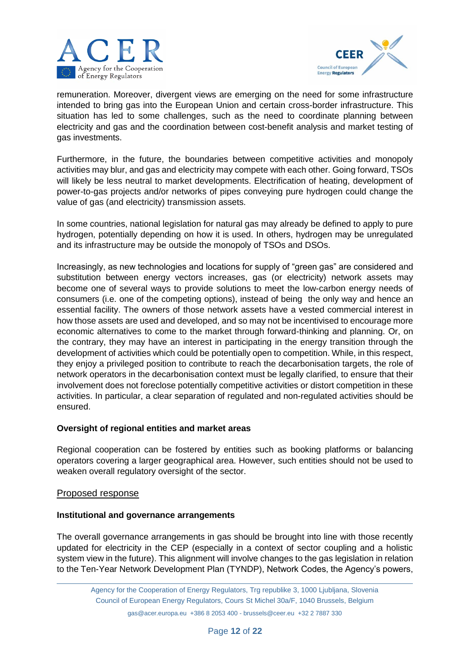



remuneration. Moreover, divergent views are emerging on the need for some infrastructure intended to bring gas into the European Union and certain cross-border infrastructure. This situation has led to some challenges, such as the need to coordinate planning between electricity and gas and the coordination between cost-benefit analysis and market testing of gas investments.

Furthermore, in the future, the boundaries between competitive activities and monopoly activities may blur, and gas and electricity may compete with each other. Going forward, TSOs will likely be less neutral to market developments. Electrification of heating, development of power-to-gas projects and/or networks of pipes conveying pure hydrogen could change the value of gas (and electricity) transmission assets.

In some countries, national legislation for natural gas may already be defined to apply to pure hydrogen, potentially depending on how it is used. In others, hydrogen may be unregulated and its infrastructure may be outside the monopoly of TSOs and DSOs.

Increasingly, as new technologies and locations for supply of "green gas" are considered and substitution between energy vectors increases, gas (or electricity) network assets may become one of several ways to provide solutions to meet the low-carbon energy needs of consumers (i.e. one of the competing options), instead of being the only way and hence an essential facility. The owners of those network assets have a vested commercial interest in how those assets are used and developed, and so may not be incentivised to encourage more economic alternatives to come to the market through forward-thinking and planning. Or, on the contrary, they may have an interest in participating in the energy transition through the development of activities which could be potentially open to competition. While, in this respect, they enjoy a privileged position to contribute to reach the decarbonisation targets, the role of network operators in the decarbonisation context must be legally clarified, to ensure that their involvement does not foreclose potentially competitive activities or distort competition in these activities. In particular, a clear separation of regulated and non-regulated activities should be ensured.

#### **Oversight of regional entities and market areas**

Regional cooperation can be fostered by entities such as booking platforms or balancing operators covering a larger geographical area. However, such entities should not be used to weaken overall regulatory oversight of the sector.

#### Proposed response

#### **Institutional and governance arrangements**

The overall governance arrangements in gas should be brought into line with those recently updated for electricity in the CEP (especially in a context of sector coupling and a holistic system view in the future). This alignment will involve changes to the gas legislation in relation to the Ten-Year Network Development Plan (TYNDP), Network Codes, the Agency's powers,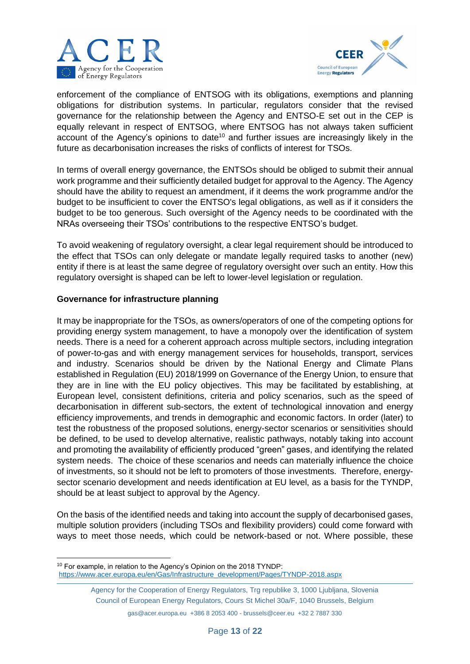



enforcement of the compliance of ENTSOG with its obligations, exemptions and planning obligations for distribution systems. In particular, regulators consider that the revised governance for the relationship between the Agency and ENTSO-E set out in the CEP is equally relevant in respect of ENTSOG, where ENTSOG has not always taken sufficient account of the Agency's opinions to date<sup>10</sup> and further issues are increasingly likely in the future as decarbonisation increases the risks of conflicts of interest for TSOs.

In terms of overall energy governance, the ENTSOs should be obliged to submit their annual work programme and their sufficiently detailed budget for approval to the Agency. The Agency should have the ability to request an amendment, if it deems the work programme and/or the budget to be insufficient to cover the ENTSO's legal obligations, as well as if it considers the budget to be too generous. Such oversight of the Agency needs to be coordinated with the NRAs overseeing their TSOs' contributions to the respective ENTSO's budget.

To avoid weakening of regulatory oversight, a clear legal requirement should be introduced to the effect that TSOs can only delegate or mandate legally required tasks to another (new) entity if there is at least the same degree of regulatory oversight over such an entity. How this regulatory oversight is shaped can be left to lower-level legislation or regulation.

### **Governance for infrastructure planning**

It may be inappropriate for the TSOs, as owners/operators of one of the competing options for providing energy system management, to have a monopoly over the identification of system needs. There is a need for a coherent approach across multiple sectors, including integration of power-to-gas and with energy management services for households, transport, services and industry. Scenarios should be driven by the National Energy and Climate Plans established in Regulation (EU) 2018/1999 on Governance of the Energy Union, to ensure that they are in line with the EU policy objectives. This may be facilitated by establishing, at European level, consistent definitions, criteria and policy scenarios, such as the speed of decarbonisation in different sub-sectors, the extent of technological innovation and energy efficiency improvements, and trends in demographic and economic factors. In order (later) to test the robustness of the proposed solutions, energy-sector scenarios or sensitivities should be defined, to be used to develop alternative, realistic pathways, notably taking into account and promoting the availability of efficiently produced "green" gases, and identifying the related system needs. The choice of these scenarios and needs can materially influence the choice of investments, so it should not be left to promoters of those investments. Therefore, energysector scenario development and needs identification at EU level, as a basis for the TYNDP, should be at least subject to approval by the Agency.

On the basis of the identified needs and taking into account the supply of decarbonised gases, multiple solution providers (including TSOs and flexibility providers) could come forward with ways to meet those needs, which could be network-based or not. Where possible, these

<sup>1</sup> <sup>10</sup> For example, in relation to the Agency's Opinion on the 2018 TYNDP: [https://www.acer.europa.eu/en/Gas/Infrastructure\\_development/Pages/TYNDP-2018.aspx](https://www.acer.europa.eu/en/Gas/Infrastructure_development/Pages/TYNDP-2018.aspx)

Agency for the Cooperation of Energy Regulators, Trg republike 3, 1000 Ljubljana, Slovenia Council of European Energy Regulators, Cours St Michel 30a/F, 1040 Brussels, Belgium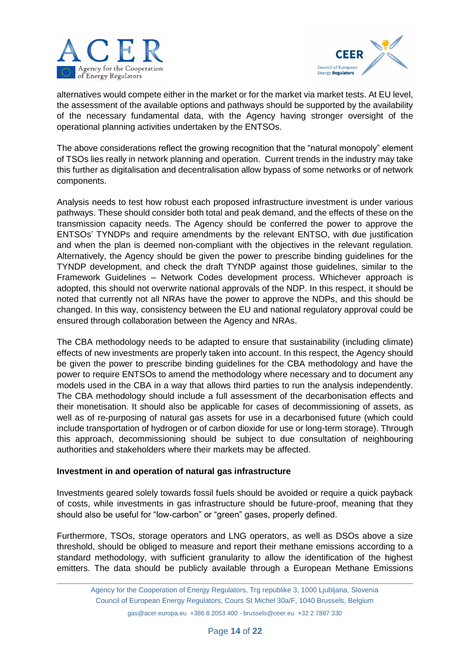



alternatives would compete either in the market or for the market via market tests. At EU level, the assessment of the available options and pathways should be supported by the availability of the necessary fundamental data, with the Agency having stronger oversight of the operational planning activities undertaken by the ENTSOs.

The above considerations reflect the growing recognition that the "natural monopoly" element of TSOs lies really in network planning and operation. Current trends in the industry may take this further as digitalisation and decentralisation allow bypass of some networks or of network components.

Analysis needs to test how robust each proposed infrastructure investment is under various pathways. These should consider both total and peak demand, and the effects of these on the transmission capacity needs. The Agency should be conferred the power to approve the ENTSOs' TYNDPs and require amendments by the relevant ENTSO, with due justification and when the plan is deemed non-compliant with the objectives in the relevant regulation. Alternatively, the Agency should be given the power to prescribe binding guidelines for the TYNDP development, and check the draft TYNDP against those guidelines, similar to the Framework Guidelines – Network Codes development process. Whichever approach is adopted, this should not overwrite national approvals of the NDP. In this respect, it should be noted that currently not all NRAs have the power to approve the NDPs, and this should be changed. In this way, consistency between the EU and national regulatory approval could be ensured through collaboration between the Agency and NRAs.

The CBA methodology needs to be adapted to ensure that sustainability (including climate) effects of new investments are properly taken into account. In this respect, the Agency should be given the power to prescribe binding guidelines for the CBA methodology and have the power to require ENTSOs to amend the methodology where necessary and to document any models used in the CBA in a way that allows third parties to run the analysis independently. The CBA methodology should include a full assessment of the decarbonisation effects and their monetisation. It should also be applicable for cases of decommissioning of assets, as well as of re-purposing of natural gas assets for use in a decarbonised future (which could include transportation of hydrogen or of carbon dioxide for use or long-term storage). Through this approach, decommissioning should be subject to due consultation of neighbouring authorities and stakeholders where their markets may be affected.

#### **Investment in and operation of natural gas infrastructure**

Investments geared solely towards fossil fuels should be avoided or require a quick payback of costs, while investments in gas infrastructure should be future-proof, meaning that they should also be useful for "low-carbon" or "green" gases, properly defined.

Furthermore, TSOs, storage operators and LNG operators, as well as DSOs above a size threshold, should be obliged to measure and report their methane emissions according to a standard methodology, with sufficient granularity to allow the identification of the highest emitters. The data should be publicly available through a European Methane Emissions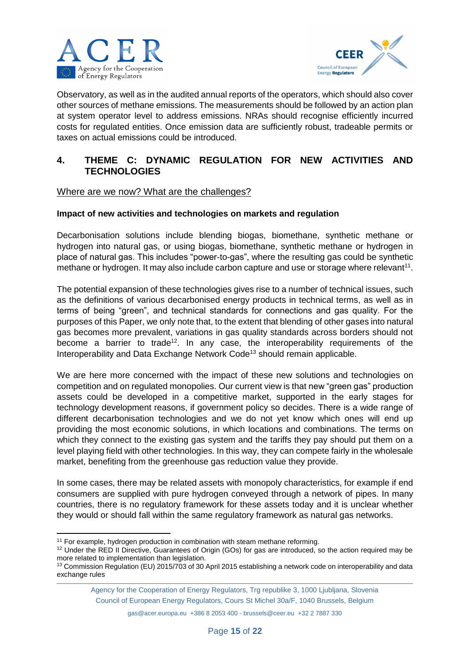



Observatory, as well as in the audited annual reports of the operators, which should also cover other sources of methane emissions. The measurements should be followed by an action plan at system operator level to address emissions. NRAs should recognise efficiently incurred costs for regulated entities. Once emission data are sufficiently robust, tradeable permits or taxes on actual emissions could be introduced.

# **4. THEME C: DYNAMIC REGULATION FOR NEW ACTIVITIES AND TECHNOLOGIES**

#### Where are we now? What are the challenges?

#### **Impact of new activities and technologies on markets and regulation**

Decarbonisation solutions include blending biogas, biomethane, synthetic methane or hydrogen into natural gas, or using biogas, biomethane, synthetic methane or hydrogen in place of natural gas. This includes "power-to-gas", where the resulting gas could be synthetic methane or hydrogen. It may also include carbon capture and use or storage where relevant<sup>11</sup>.

The potential expansion of these technologies gives rise to a number of technical issues, such as the definitions of various decarbonised energy products in technical terms, as well as in terms of being "green", and technical standards for connections and gas quality. For the purposes of this Paper, we only note that, to the extent that blending of other gases into natural gas becomes more prevalent, variations in gas quality standards across borders should not become a barrier to trade<sup>12</sup>. In any case, the interoperability requirements of the Interoperability and Data Exchange Network Code<sup>13</sup> should remain applicable.

We are here more concerned with the impact of these new solutions and technologies on competition and on regulated monopolies. Our current view is that new "green gas" production assets could be developed in a competitive market, supported in the early stages for technology development reasons, if government policy so decides. There is a wide range of different decarbonisation technologies and we do not yet know which ones will end up providing the most economic solutions, in which locations and combinations. The terms on which they connect to the existing gas system and the tariffs they pay should put them on a level playing field with other technologies. In this way, they can compete fairly in the wholesale market, benefiting from the greenhouse gas reduction value they provide.

In some cases, there may be related assets with monopoly characteristics, for example if end consumers are supplied with pure hydrogen conveyed through a network of pipes. In many countries, there is no regulatory framework for these assets today and it is unclear whether they would or should fall within the same regulatory framework as natural gas networks.

Agency for the Cooperation of Energy Regulators, Trg republike 3, 1000 Ljubljana, Slovenia Council of European Energy Regulators, Cours St Michel 30a/F, 1040 Brussels, Belgium

<sup>1</sup> <sup>11</sup> For example, hydrogen production in combination with steam methane reforming.

<sup>&</sup>lt;sup>12</sup> Under the RED II Directive, Guarantees of Origin (GOs) for gas are introduced, so the action required may be more related to implementation than legislation.

<sup>&</sup>lt;sup>13</sup> Commission Regulation (EU) 2015/703 of 30 April 2015 establishing a network code on interoperability and data exchange rules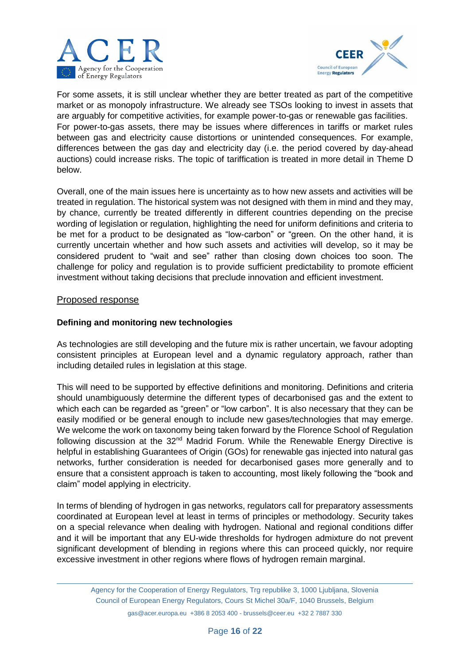



For some assets, it is still unclear whether they are better treated as part of the competitive market or as monopoly infrastructure. We already see TSOs looking to invest in assets that are arguably for competitive activities, for example power-to-gas or renewable gas facilities. For power-to-gas assets, there may be issues where differences in tariffs or market rules between gas and electricity cause distortions or unintended consequences. For example, differences between the gas day and electricity day (i.e. the period covered by day-ahead auctions) could increase risks. The topic of tariffication is treated in more detail in Theme D below.

Overall, one of the main issues here is uncertainty as to how new assets and activities will be treated in regulation. The historical system was not designed with them in mind and they may, by chance, currently be treated differently in different countries depending on the precise wording of legislation or regulation, highlighting the need for uniform definitions and criteria to be met for a product to be designated as "low-carbon" or "green. On the other hand, it is currently uncertain whether and how such assets and activities will develop, so it may be considered prudent to "wait and see" rather than closing down choices too soon. The challenge for policy and regulation is to provide sufficient predictability to promote efficient investment without taking decisions that preclude innovation and efficient investment.

#### Proposed response

### **Defining and monitoring new technologies**

As technologies are still developing and the future mix is rather uncertain, we favour adopting consistent principles at European level and a dynamic regulatory approach, rather than including detailed rules in legislation at this stage.

This will need to be supported by effective definitions and monitoring. Definitions and criteria should unambiguously determine the different types of decarbonised gas and the extent to which each can be regarded as "green" or "low carbon". It is also necessary that they can be easily modified or be general enough to include new gases/technologies that may emerge. We welcome the work on taxonomy being taken forward by the Florence School of Regulation following discussion at the 32<sup>nd</sup> Madrid Forum. While the Renewable Energy Directive is helpful in establishing Guarantees of Origin (GOs) for renewable gas injected into natural gas networks, further consideration is needed for decarbonised gases more generally and to ensure that a consistent approach is taken to accounting, most likely following the "book and claim" model applying in electricity.

In terms of blending of hydrogen in gas networks, regulators call for preparatory assessments coordinated at European level at least in terms of principles or methodology. Security takes on a special relevance when dealing with hydrogen. National and regional conditions differ and it will be important that any EU-wide thresholds for hydrogen admixture do not prevent significant development of blending in regions where this can proceed quickly, nor require excessive investment in other regions where flows of hydrogen remain marginal.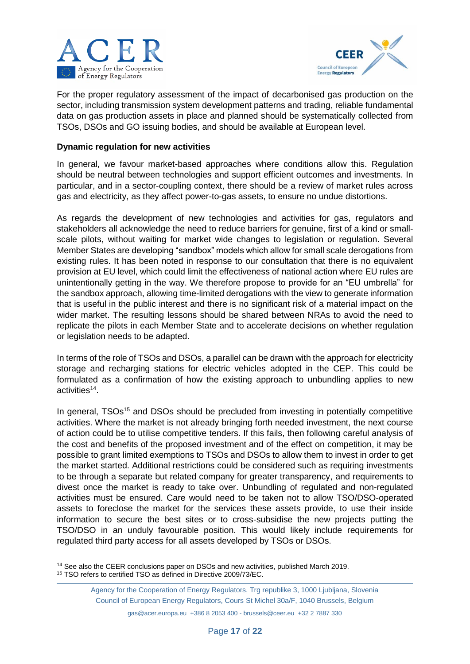



For the proper regulatory assessment of the impact of decarbonised gas production on the sector, including transmission system development patterns and trading, reliable fundamental data on gas production assets in place and planned should be systematically collected from TSOs, DSOs and GO issuing bodies, and should be available at European level.

#### **Dynamic regulation for new activities**

In general, we favour market-based approaches where conditions allow this. Regulation should be neutral between technologies and support efficient outcomes and investments. In particular, and in a sector-coupling context, there should be a review of market rules across gas and electricity, as they affect power-to-gas assets, to ensure no undue distortions.

As regards the development of new technologies and activities for gas, regulators and stakeholders all acknowledge the need to reduce barriers for genuine, first of a kind or smallscale pilots, without waiting for market wide changes to legislation or regulation. Several Member States are developing "sandbox" models which allow for small scale derogations from existing rules. It has been noted in response to our consultation that there is no equivalent provision at EU level, which could limit the effectiveness of national action where EU rules are unintentionally getting in the way. We therefore propose to provide for an "EU umbrella" for the sandbox approach, allowing time-limited derogations with the view to generate information that is useful in the public interest and there is no significant risk of a material impact on the wider market. The resulting lessons should be shared between NRAs to avoid the need to replicate the pilots in each Member State and to accelerate decisions on whether regulation or legislation needs to be adapted.

In terms of the role of TSOs and DSOs, a parallel can be drawn with the approach for electricity storage and recharging stations for electric vehicles adopted in the CEP. This could be formulated as a confirmation of how the existing approach to unbundling applies to new activities<sup>14</sup>.

In general, TSOs<sup>15</sup> and DSOs should be precluded from investing in potentially competitive activities. Where the market is not already bringing forth needed investment, the next course of action could be to utilise competitive tenders. If this fails, then following careful analysis of the cost and benefits of the proposed investment and of the effect on competition, it may be possible to grant limited exemptions to TSOs and DSOs to allow them to invest in order to get the market started. Additional restrictions could be considered such as requiring investments to be through a separate but related company for greater transparency, and requirements to divest once the market is ready to take over. Unbundling of regulated and non-regulated activities must be ensured. Care would need to be taken not to allow TSO/DSO-operated assets to foreclose the market for the services these assets provide, to use their inside information to secure the best sites or to cross-subsidise the new projects putting the TSO/DSO in an unduly favourable position. This would likely include requirements for regulated third party access for all assets developed by TSOs or DSOs.

1

<sup>&</sup>lt;sup>14</sup> See also the CEER conclusions paper on DSOs and new activities, published March 2019.

<sup>15</sup> TSO refers to certified TSO as defined in Directive 2009/73/EC.

Agency for the Cooperation of Energy Regulators, Trg republike 3, 1000 Ljubljana, Slovenia Council of European Energy Regulators, Cours St Michel 30a/F, 1040 Brussels, Belgium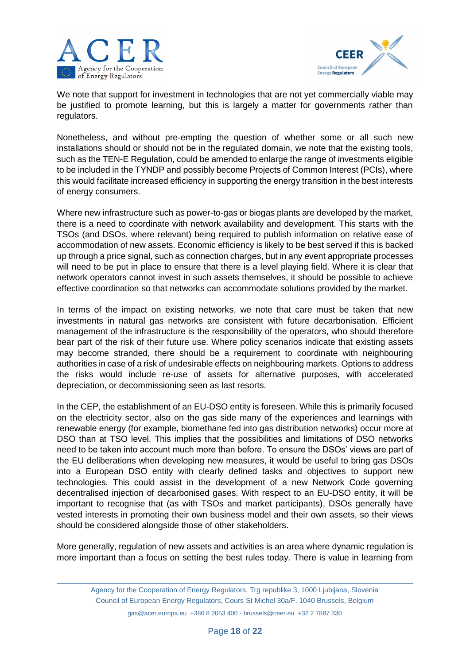



We note that support for investment in technologies that are not yet commercially viable may be justified to promote learning, but this is largely a matter for governments rather than regulators.

Nonetheless, and without pre-empting the question of whether some or all such new installations should or should not be in the regulated domain, we note that the existing tools, such as the TEN-E Regulation, could be amended to enlarge the range of investments eligible to be included in the TYNDP and possibly become Projects of Common Interest (PCIs), where this would facilitate increased efficiency in supporting the energy transition in the best interests of energy consumers.

Where new infrastructure such as power-to-gas or biogas plants are developed by the market, there is a need to coordinate with network availability and development. This starts with the TSOs (and DSOs, where relevant) being required to publish information on relative ease of accommodation of new assets. Economic efficiency is likely to be best served if this is backed up through a price signal, such as connection charges, but in any event appropriate processes will need to be put in place to ensure that there is a level playing field. Where it is clear that network operators cannot invest in such assets themselves, it should be possible to achieve effective coordination so that networks can accommodate solutions provided by the market.

In terms of the impact on existing networks, we note that care must be taken that new investments in natural gas networks are consistent with future decarbonisation. Efficient management of the infrastructure is the responsibility of the operators, who should therefore bear part of the risk of their future use. Where policy scenarios indicate that existing assets may become stranded, there should be a requirement to coordinate with neighbouring authorities in case of a risk of undesirable effects on neighbouring markets. Options to address the risks would include re-use of assets for alternative purposes, with accelerated depreciation, or decommissioning seen as last resorts.

In the CEP, the establishment of an EU-DSO entity is foreseen. While this is primarily focused on the electricity sector, also on the gas side many of the experiences and learnings with renewable energy (for example, biomethane fed into gas distribution networks) occur more at DSO than at TSO level. This implies that the possibilities and limitations of DSO networks need to be taken into account much more than before. To ensure the DSOs' views are part of the EU deliberations when developing new measures, it would be useful to bring gas DSOs into a European DSO entity with clearly defined tasks and objectives to support new technologies. This could assist in the development of a new Network Code governing decentralised injection of decarbonised gases. With respect to an EU-DSO entity, it will be important to recognise that (as with TSOs and market participants), DSOs generally have vested interests in promoting their own business model and their own assets, so their views should be considered alongside those of other stakeholders.

More generally, regulation of new assets and activities is an area where dynamic regulation is more important than a focus on setting the best rules today. There is value in learning from

Agency for the Cooperation of Energy Regulators, Trg republike 3, 1000 Ljubljana, Slovenia Council of European Energy Regulators, Cours St Michel 30a/F, 1040 Brussels, Belgium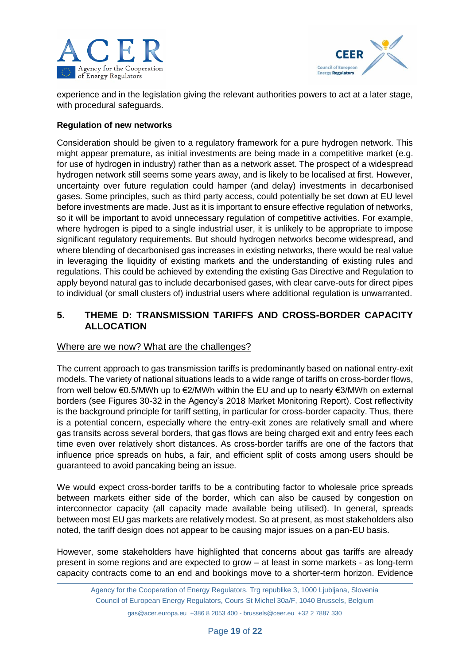



experience and in the legislation giving the relevant authorities powers to act at a later stage, with procedural safeguards.

### **Regulation of new networks**

Consideration should be given to a regulatory framework for a pure hydrogen network. This might appear premature, as initial investments are being made in a competitive market (e.g. for use of hydrogen in industry) rather than as a network asset. The prospect of a widespread hydrogen network still seems some years away, and is likely to be localised at first. However, uncertainty over future regulation could hamper (and delay) investments in decarbonised gases. Some principles, such as third party access, could potentially be set down at EU level before investments are made. Just as it is important to ensure effective regulation of networks, so it will be important to avoid unnecessary regulation of competitive activities. For example, where hydrogen is piped to a single industrial user, it is unlikely to be appropriate to impose significant regulatory requirements. But should hydrogen networks become widespread, and where blending of decarbonised gas increases in existing networks, there would be real value in leveraging the liquidity of existing markets and the understanding of existing rules and regulations. This could be achieved by extending the existing Gas Directive and Regulation to apply beyond natural gas to include decarbonised gases, with clear carve-outs for direct pipes to individual (or small clusters of) industrial users where additional regulation is unwarranted.

# **5. THEME D: TRANSMISSION TARIFFS AND CROSS-BORDER CAPACITY ALLOCATION**

## Where are we now? What are the challenges?

The current approach to gas transmission tariffs is predominantly based on national entry-exit models. The variety of national situations leads to a wide range of tariffs on cross-border flows, from well below €0.5/MWh up to €2/MWh within the EU and up to nearly €3/MWh on external borders (see Figures 30-32 in the Agency's 2018 Market Monitoring Report). Cost reflectivity is the background principle for tariff setting, in particular for cross-border capacity. Thus, there is a potential concern, especially where the entry-exit zones are relatively small and where gas transits across several borders, that gas flows are being charged exit and entry fees each time even over relatively short distances. As cross-border tariffs are one of the factors that influence price spreads on hubs, a fair, and efficient split of costs among users should be guaranteed to avoid pancaking being an issue.

We would expect cross-border tariffs to be a contributing factor to wholesale price spreads between markets either side of the border, which can also be caused by congestion on interconnector capacity (all capacity made available being utilised). In general, spreads between most EU gas markets are relatively modest. So at present, as most stakeholders also noted, the tariff design does not appear to be causing major issues on a pan-EU basis.

However, some stakeholders have highlighted that concerns about gas tariffs are already present in some regions and are expected to grow – at least in some markets - as long-term capacity contracts come to an end and bookings move to a shorter-term horizon. Evidence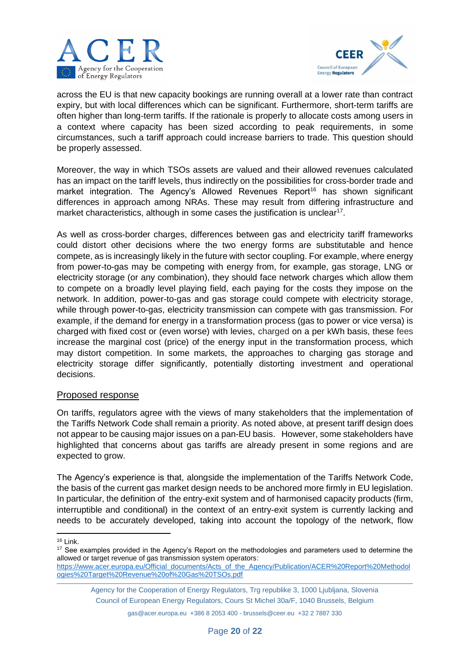



across the EU is that new capacity bookings are running overall at a lower rate than contract expiry, but with local differences which can be significant. Furthermore, short-term tariffs are often higher than long-term tariffs. If the rationale is properly to allocate costs among users in a context where capacity has been sized according to peak requirements, in some circumstances, such a tariff approach could increase barriers to trade. This question should be properly assessed.

Moreover, the way in which TSOs assets are valued and their allowed revenues calculated has an impact on the tariff levels, thus indirectly on the possibilities for cross-border trade and market integration. The Agency's Allowed Revenues Report<sup>16</sup> has shown significant differences in approach among NRAs. These may result from differing infrastructure and market characteristics, although in some cases the justification is unclear<sup>17</sup>.

As well as cross-border charges, differences between gas and electricity tariff frameworks could distort other decisions where the two energy forms are substitutable and hence compete, as is increasingly likely in the future with sector coupling. For example, where energy from power-to-gas may be competing with energy from, for example, gas storage, LNG or electricity storage (or any combination), they should face network charges which allow them to compete on a broadly level playing field, each paying for the costs they impose on the network. In addition, power-to-gas and gas storage could compete with electricity storage, while through power-to-gas, electricity transmission can compete with gas transmission. For example, if the demand for energy in a transformation process (gas to power or vice versa) is charged with fixed cost or (even worse) with levies, charged on a per kWh basis, these fees increase the marginal cost (price) of the energy input in the transformation process, which may distort competition. In some markets, the approaches to charging gas storage and electricity storage differ significantly, potentially distorting investment and operational decisions.

#### Proposed response

On tariffs, regulators agree with the views of many stakeholders that the implementation of the Tariffs Network Code shall remain a priority. As noted above, at present tariff design does not appear to be causing major issues on a pan-EU basis. However, some stakeholders have highlighted that concerns about gas tariffs are already present in some regions and are expected to grow.

The Agency's experience is that, alongside the implementation of the Tariffs Network Code, the basis of the current gas market design needs to be anchored more firmly in EU legislation. In particular, the definition of the entry-exit system and of harmonised capacity products (firm, interruptible and conditional) in the context of an entry-exit system is currently lacking and needs to be accurately developed, taking into account the topology of the network, flow

1 <sup>16</sup> Link.

<sup>17</sup> See examples provided in the Agency's Report on the methodologies and parameters used to determine the allowed or target revenue of gas transmission system operators:

Agency for the Cooperation of Energy Regulators, Trg republike 3, 1000 Ljubljana, Slovenia Council of European Energy Regulators, Cours St Michel 30a/F, 1040 Brussels, Belgium

[https://www.acer.europa.eu/Official\\_documents/Acts\\_of\\_the\\_Agency/Publication/ACER%20Report%20Methodol](https://www.acer.europa.eu/Official_documents/Acts_of_the_Agency/Publication/ACER%20Report%20Methodologies%20Target%20Revenue%20of%20Gas%20TSOs.pdf) [ogies%20Target%20Revenue%20of%20Gas%20TSOs.pdf](https://www.acer.europa.eu/Official_documents/Acts_of_the_Agency/Publication/ACER%20Report%20Methodologies%20Target%20Revenue%20of%20Gas%20TSOs.pdf)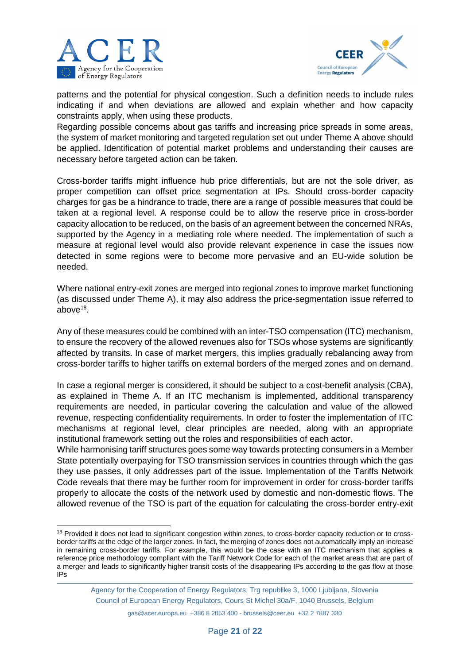

**.** 



patterns and the potential for physical congestion. Such a definition needs to include rules indicating if and when deviations are allowed and explain whether and how capacity constraints apply, when using these products.

Regarding possible concerns about gas tariffs and increasing price spreads in some areas, the system of market monitoring and targeted regulation set out under Theme A above should be applied. Identification of potential market problems and understanding their causes are necessary before targeted action can be taken.

Cross-border tariffs might influence hub price differentials, but are not the sole driver, as proper competition can offset price segmentation at IPs. Should cross-border capacity charges for gas be a hindrance to trade, there are a range of possible measures that could be taken at a regional level. A response could be to allow the reserve price in cross-border capacity allocation to be reduced, on the basis of an agreement between the concerned NRAs, supported by the Agency in a mediating role where needed. The implementation of such a measure at regional level would also provide relevant experience in case the issues now detected in some regions were to become more pervasive and an EU-wide solution be needed.

Where national entry-exit zones are merged into regional zones to improve market functioning (as discussed under Theme A), it may also address the price-segmentation issue referred to above<sup>18</sup>.

Any of these measures could be combined with an inter-TSO compensation (ITC) mechanism, to ensure the recovery of the allowed revenues also for TSOs whose systems are significantly affected by transits. In case of market mergers, this implies gradually rebalancing away from cross-border tariffs to higher tariffs on external borders of the merged zones and on demand.

In case a regional merger is considered, it should be subject to a cost-benefit analysis (CBA), as explained in Theme A. If an ITC mechanism is implemented, additional transparency requirements are needed, in particular covering the calculation and value of the allowed revenue, respecting confidentiality requirements. In order to foster the implementation of ITC mechanisms at regional level, clear principles are needed, along with an appropriate institutional framework setting out the roles and responsibilities of each actor.

While harmonising tariff structures goes some way towards protecting consumers in a Member State potentially overpaying for TSO transmission services in countries through which the gas they use passes, it only addresses part of the issue. Implementation of the Tariffs Network Code reveals that there may be further room for improvement in order for cross-border tariffs properly to allocate the costs of the network used by domestic and non-domestic flows. The allowed revenue of the TSO is part of the equation for calculating the cross-border entry-exit

<sup>&</sup>lt;sup>18</sup> Provided it does not lead to significant congestion within zones, to cross-border capacity reduction or to crossborder tariffs at the edge of the larger zones. In fact, the merging of zones does not automatically imply an increase in remaining cross-border tariffs. For example, this would be the case with an ITC mechanism that applies a reference price methodology compliant with the Tariff Network Code for each of the market areas that are part of a merger and leads to significantly higher transit costs of the disappearing IPs according to the gas flow at those IPs

Agency for the Cooperation of Energy Regulators, Trg republike 3, 1000 Ljubljana, Slovenia Council of European Energy Regulators, Cours St Michel 30a/F, 1040 Brussels, Belgium